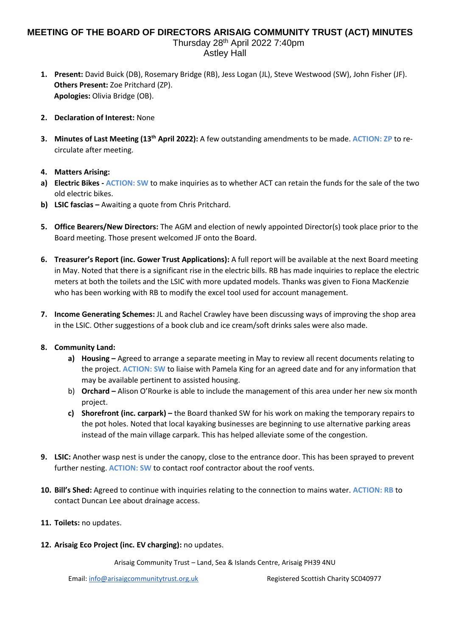## **MEETING OF THE BOARD OF DIRECTORS ARISAIG COMMUNITY TRUST (ACT) MINUTES**

Thursday 28th April 2022 7:40pm Astley Hall

- **1. Present:** David Buick (DB), Rosemary Bridge (RB), Jess Logan (JL), Steve Westwood (SW), John Fisher (JF). **Others Present:** Zoe Pritchard (ZP). **Apologies:** Olivia Bridge (OB).
- **2. Declaration of Interest:** None
- **3. Minutes of Last Meeting (13th April 2022):** A few outstanding amendments to be made. **ACTION: ZP** to recirculate after meeting.

## **4. Matters Arising:**

- **a) Electric Bikes - ACTION: SW** to make inquiries as to whether ACT can retain the funds for the sale of the two old electric bikes.
- **b) LSIC fascias –** Awaiting a quote from Chris Pritchard.
- **5. Office Bearers/New Directors:** The AGM and election of newly appointed Director(s) took place prior to the Board meeting. Those present welcomed JF onto the Board.
- **6. Treasurer's Report (inc. Gower Trust Applications):** A full report will be available at the next Board meeting in May. Noted that there is a significant rise in the electric bills. RB has made inquiries to replace the electric meters at both the toilets and the LSIC with more updated models. Thanks was given to Fiona MacKenzie who has been working with RB to modify the excel tool used for account management.
- **7. Income Generating Schemes:** JL and Rachel Crawley have been discussing ways of improving the shop area in the LSIC. Other suggestions of a book club and ice cream/soft drinks sales were also made.

## **8. Community Land:**

- **a) Housing –** Agreed to arrange a separate meeting in May to review all recent documents relating to the project. **ACTION: SW** to liaise with Pamela King for an agreed date and for any information that may be available pertinent to assisted housing.
- b) **Orchard –** Alison O'Rourke is able to include the management of this area under her new six month project.
- **c) Shorefront (inc. carpark) –** the Board thanked SW for his work on making the temporary repairs to the pot holes. Noted that local kayaking businesses are beginning to use alternative parking areas instead of the main village carpark. This has helped alleviate some of the congestion.
- **9. LSIC:** Another wasp nest is under the canopy, close to the entrance door. This has been sprayed to prevent further nesting. **ACTION: SW** to contact roof contractor about the roof vents.
- **10. Bill's Shed:** Agreed to continue with inquiries relating to the connection to mains water. **ACTION: RB** to contact Duncan Lee about drainage access.
- **11. Toilets:** no updates.
- **12. Arisaig Eco Project (inc. EV charging):** no updates.

Arisaig Community Trust – Land, Sea & Islands Centre, Arisaig PH39 4NU

Email[: info@arisaigcommunitytrust.org.uk](mailto:info@arisaigcommunitytrust.org.uk) Registered Scottish Charity SC040977